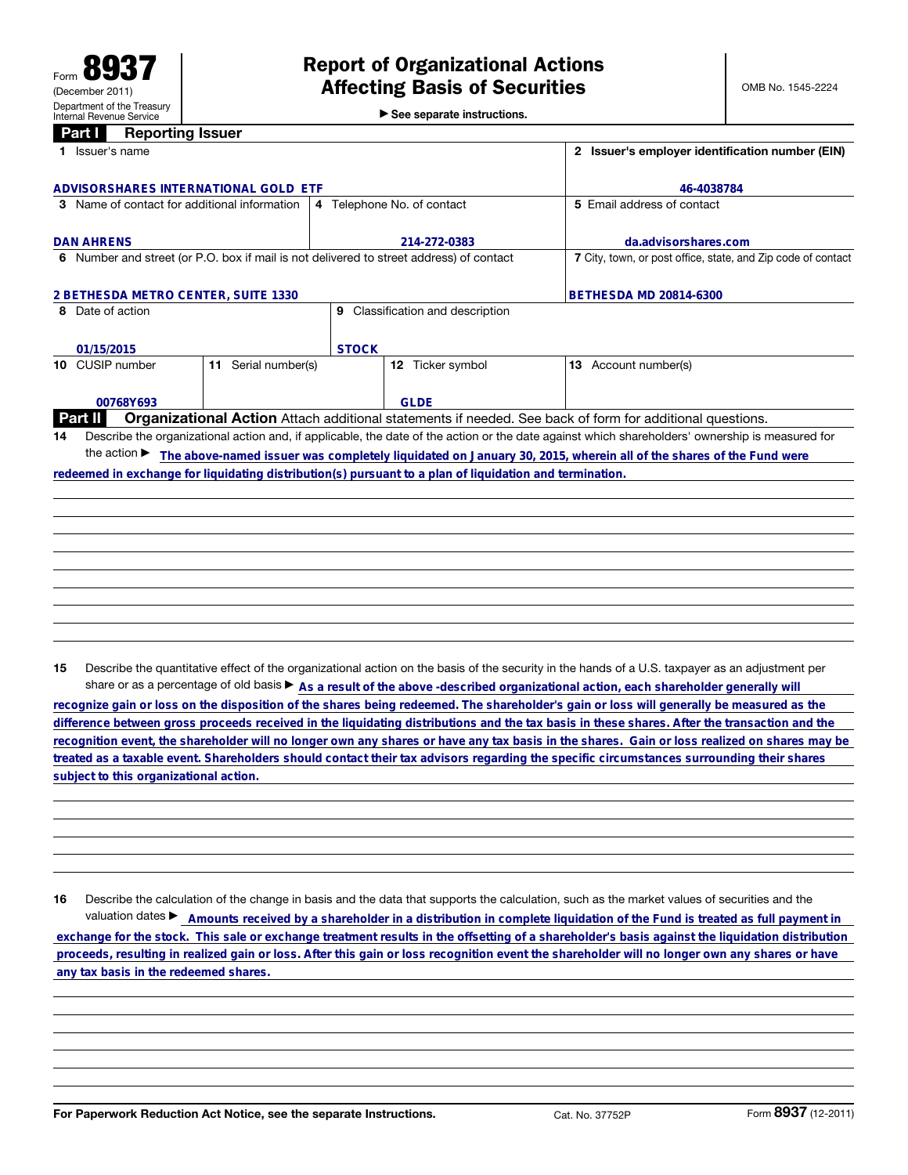▶ See separate instructions.

## **Part I** Reporting Issuer

|                                              | 1 Issuer's name                                                                                                                                      |                        |                                                                                         |                                                                                                         |  | 2 Issuer's employer identification number (EIN)                                                          |  |  |
|----------------------------------------------|------------------------------------------------------------------------------------------------------------------------------------------------------|------------------------|-----------------------------------------------------------------------------------------|---------------------------------------------------------------------------------------------------------|--|----------------------------------------------------------------------------------------------------------|--|--|
| ADVISORSHARES INTERNATIONAL GOLD ETF         |                                                                                                                                                      |                        |                                                                                         |                                                                                                         |  | 46-4038784                                                                                               |  |  |
| 3 Name of contact for additional information |                                                                                                                                                      |                        | 4 Telephone No. of contact                                                              |                                                                                                         |  | 5 Email address of contact                                                                               |  |  |
|                                              |                                                                                                                                                      |                        |                                                                                         |                                                                                                         |  |                                                                                                          |  |  |
|                                              | <b>DAN AHRENS</b>                                                                                                                                    |                        | 214-272-0383                                                                            |                                                                                                         |  | da.advisorshares.com                                                                                     |  |  |
|                                              |                                                                                                                                                      |                        | 6 Number and street (or P.O. box if mail is not delivered to street address) of contact |                                                                                                         |  | 7 City, town, or post office, state, and Zip code of contact                                             |  |  |
| 2 BETHESDA METRO CENTER, SUITE 1330          |                                                                                                                                                      |                        |                                                                                         |                                                                                                         |  | <b>BETHESDA MD 20814-6300</b>                                                                            |  |  |
|                                              | 8 Date of action                                                                                                                                     |                        | Classification and description<br>9                                                     |                                                                                                         |  |                                                                                                          |  |  |
|                                              |                                                                                                                                                      |                        |                                                                                         |                                                                                                         |  |                                                                                                          |  |  |
|                                              | 01/15/2015                                                                                                                                           |                        | <b>STOCK</b>                                                                            |                                                                                                         |  |                                                                                                          |  |  |
|                                              | 10 CUSIP number                                                                                                                                      | Serial number(s)<br>11 |                                                                                         | 12 Ticker symbol                                                                                        |  | 13 Account number(s)                                                                                     |  |  |
|                                              |                                                                                                                                                      |                        |                                                                                         |                                                                                                         |  |                                                                                                          |  |  |
|                                              | 00768Y693                                                                                                                                            |                        |                                                                                         | <b>GLDE</b>                                                                                             |  |                                                                                                          |  |  |
|                                              | Part II                                                                                                                                              |                        |                                                                                         |                                                                                                         |  | Organizational Action Attach additional statements if needed. See back of form for additional questions. |  |  |
| 14                                           | Describe the organizational action and, if applicable, the date of the action or the date against which shareholders' ownership is measured for      |                        |                                                                                         |                                                                                                         |  |                                                                                                          |  |  |
|                                              | the action $\blacktriangleright$<br>The above-named issuer was completely liquidated on January 30, 2015, wherein all of the shares of the Fund were |                        |                                                                                         |                                                                                                         |  |                                                                                                          |  |  |
|                                              |                                                                                                                                                      |                        |                                                                                         | redeemed in exchange for liquidating distribution(s) pursuant to a plan of liquidation and termination. |  |                                                                                                          |  |  |
|                                              |                                                                                                                                                      |                        |                                                                                         |                                                                                                         |  |                                                                                                          |  |  |
|                                              |                                                                                                                                                      |                        |                                                                                         |                                                                                                         |  |                                                                                                          |  |  |
|                                              |                                                                                                                                                      |                        |                                                                                         |                                                                                                         |  |                                                                                                          |  |  |
|                                              |                                                                                                                                                      |                        |                                                                                         |                                                                                                         |  |                                                                                                          |  |  |
|                                              |                                                                                                                                                      |                        |                                                                                         |                                                                                                         |  |                                                                                                          |  |  |

15 Describe the quantitative effect of the organizational action on the basis of the security in the hands of a U.S. taxpayer as an adjustment per share or as a percentage of old basis  $\triangleright$  As a result of the above -described organizational action, each shareholder generally will

recognize gain or loss on the disposition of the shares being redeemed. The shareholder's gain or loss will generally be measured as the<br>difference between gross proceeds received in the liquidating distributions and the t **recognition event, the shareholder will no longer own any shares or have any tax basis in the shares. Gain or loss realized on shares may be treated as a taxable event. Shareholders should contact their tax advisors regarding the specific circumstances surrounding their shares**

16 Describe the calculation of the change in basis and the data that supports the calculation, such as the market values of securities and the valuation dates ► Amounts received by a shareholder in a distribution in complete liquidation of the Fund is treated as full payment in subject to this organizational action.<br>
16 Describe the calculation of the change in basis and the data that supports the calculation, such as the market values of securities and the<br>
valuation dates ▶ \_\_\_\_\_\_\_\_\_\_\_\_\_\_\_\_\_\_\_